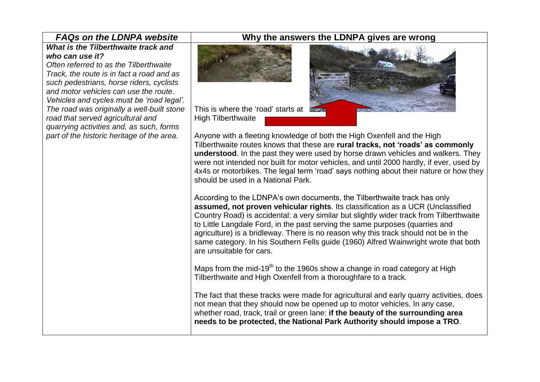## *What is the Tilberthwaite track and who can use it?*

*Often referred to as the Tilberthwaite Track, the route is in fact a road and as such pedestrians, horse riders, cyclists and motor vehicles can use the route. Vehicles and cycles must be 'road legal'. The road was originally a well-built stone road that served agricultural and quarrying activities and, as such, forms part of the historic heritage of the area.*

## *FAQs on the LDNPA website* **Why the answers the LDNPA gives are wrong**



High Tilberthwaite

Anyone with a fleeting knowledge of both the High Oxenfell and the High Tilberthwaite routes knows that these are **rural tracks, not 'roads' as commonly understood**. In the past they were used by horse drawn vehicles and walkers. They were not intended nor built for motor vehicles, and until 2000 hardly, if ever, used by 4x4s or motorbikes. The legal term 'road' says nothing about their nature or how they should be used in a National Park.

According to the LDNPA's own documents, the Tilberthwaite track has only **assumed, not proven vehicular rights**. Its classification as a UCR (Unclassified Country Road) is accidental: a very similar but slightly wider track from Tilberthwaite to Little Langdale Ford, in the past serving the same purposes (quarries and agriculture) is a bridleway. There is no reason why this track should not be in the same category. In his Southern Fells guide (1960) Alfred Wainwright wrote that both are unsuitable for cars.

Maps from the mid-19<sup>th</sup> to the 1960s show a change in road category at High Tilberthwaite and High Oxenfell from a thoroughfare to a track.

The fact that these tracks were made for agricultural and early quarry activities, does not mean that they should now be opened up to motor vehicles. In any case, whether road, track, trail or green lane: **if the beauty of the surrounding area needs to be protected, the National Park Authority should impose a TRO**.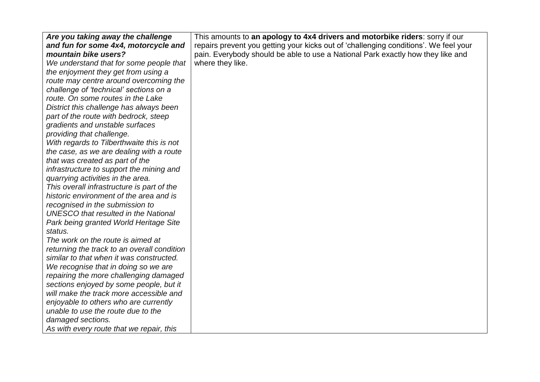| Are you taking away the challenge           | This amounts to an apology to 4x4 drivers and motorbike riders: sorry if our         |
|---------------------------------------------|--------------------------------------------------------------------------------------|
| and fun for some 4x4, motorcycle and        | repairs prevent you getting your kicks out of 'challenging conditions'. We feel your |
| mountain bike users?                        | pain. Everybody should be able to use a National Park exactly how they like and      |
| We understand that for some people that     | where they like.                                                                     |
| the enjoyment they get from using a         |                                                                                      |
| route may centre around overcoming the      |                                                                                      |
| challenge of 'technical' sections on a      |                                                                                      |
| route. On some routes in the Lake           |                                                                                      |
| District this challenge has always been     |                                                                                      |
| part of the route with bedrock, steep       |                                                                                      |
| gradients and unstable surfaces             |                                                                                      |
| providing that challenge.                   |                                                                                      |
| With regards to Tilberthwaite this is not   |                                                                                      |
| the case, as we are dealing with a route    |                                                                                      |
| that was created as part of the             |                                                                                      |
| infrastructure to support the mining and    |                                                                                      |
| quarrying activities in the area.           |                                                                                      |
| This overall infrastructure is part of the  |                                                                                      |
| historic environment of the area and is     |                                                                                      |
| recognised in the submission to             |                                                                                      |
| <b>UNESCO</b> that resulted in the National |                                                                                      |
| Park being granted World Heritage Site      |                                                                                      |
| status.                                     |                                                                                      |
| The work on the route is aimed at           |                                                                                      |
| returning the track to an overall condition |                                                                                      |
| similar to that when it was constructed.    |                                                                                      |
| We recognise that in doing so we are        |                                                                                      |
| repairing the more challenging damaged      |                                                                                      |
| sections enjoyed by some people, but it     |                                                                                      |
| will make the track more accessible and     |                                                                                      |
| enjoyable to others who are currently       |                                                                                      |
| unable to use the route due to the          |                                                                                      |
| damaged sections.                           |                                                                                      |
| As with every route that we repair, this    |                                                                                      |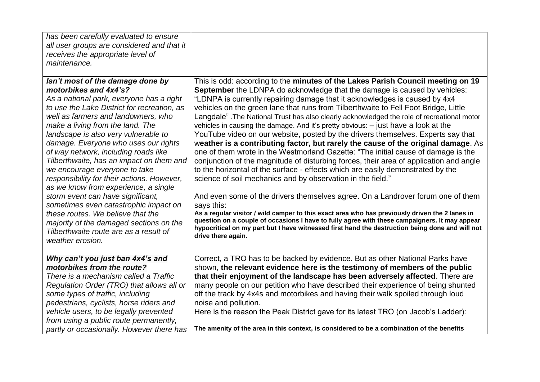| has been carefully evaluated to ensure<br>all user groups are considered and that it<br>receives the appropriate level of<br>maintenance.                                                                                                                                                                                                                                                                                                                                                                                                                                                                                                                                                                                                              |                                                                                                                                                                                                                                                                                                                                                                                                                                                                                                                                                                                                                                                                                                                                                                                                                                                                                                                                                                                                                                                                                                                                                                                                                                                                                                                                                                                                                                                                     |
|--------------------------------------------------------------------------------------------------------------------------------------------------------------------------------------------------------------------------------------------------------------------------------------------------------------------------------------------------------------------------------------------------------------------------------------------------------------------------------------------------------------------------------------------------------------------------------------------------------------------------------------------------------------------------------------------------------------------------------------------------------|---------------------------------------------------------------------------------------------------------------------------------------------------------------------------------------------------------------------------------------------------------------------------------------------------------------------------------------------------------------------------------------------------------------------------------------------------------------------------------------------------------------------------------------------------------------------------------------------------------------------------------------------------------------------------------------------------------------------------------------------------------------------------------------------------------------------------------------------------------------------------------------------------------------------------------------------------------------------------------------------------------------------------------------------------------------------------------------------------------------------------------------------------------------------------------------------------------------------------------------------------------------------------------------------------------------------------------------------------------------------------------------------------------------------------------------------------------------------|
| Isn't most of the damage done by<br>motorbikes and 4x4's?<br>As a national park, everyone has a right<br>to use the Lake District for recreation, as<br>well as farmers and landowners, who<br>make a living from the land. The<br>landscape is also very vulnerable to<br>damage. Everyone who uses our rights<br>of way network, including roads like<br>Tilberthwaite, has an impact on them and<br>we encourage everyone to take<br>responsibility for their actions. However,<br>as we know from experience, a single<br>storm event can have significant,<br>sometimes even catastrophic impact on<br>these routes. We believe that the<br>majority of the damaged sections on the<br>Tilberthwaite route are as a result of<br>weather erosion. | This is odd: according to the minutes of the Lakes Parish Council meeting on 19<br><b>September</b> the LDNPA do acknowledge that the damage is caused by vehicles:<br>"LDNPA is currently repairing damage that it acknowledges is caused by 4x4<br>vehicles on the green lane that runs from Tilberthwaite to Fell Foot Bridge, Little<br>Langdale". The National Trust has also clearly acknowledged the role of recreational motor<br>vehicles in causing the damage. And it's pretty obvious: - just have a look at the<br>YouTube video on our website, posted by the drivers themselves. Experts say that<br>weather is a contributing factor, but rarely the cause of the original damage. As<br>one of them wrote in the Westmorland Gazette: "The initial cause of damage is the<br>conjunction of the magnitude of disturbing forces, their area of application and angle<br>to the horizontal of the surface - effects which are easily demonstrated by the<br>science of soil mechanics and by observation in the field."<br>And even some of the drivers themselves agree. On a Landrover forum one of them<br>says this:<br>As a regular visitor / wild camper to this exact area who has previously driven the 2 lanes in<br>question on a couple of occasions I have to fully agree with these campaigners. It may appear<br>hypocritical on my part but I have witnessed first hand the destruction being done and will not<br>drive there again. |
| Why can't you just ban 4x4's and<br>motorbikes from the route?<br>There is a mechanism called a Traffic<br>Regulation Order (TRO) that allows all or<br>some types of traffic, including<br>pedestrians, cyclists, horse riders and<br>vehicle users, to be legally prevented<br>from using a public route permanently,<br>partly or occasionally. However there has                                                                                                                                                                                                                                                                                                                                                                                   | Correct, a TRO has to be backed by evidence. But as other National Parks have<br>shown, the relevant evidence here is the testimony of members of the public<br>that their enjoyment of the landscape has been adversely affected. There are<br>many people on our petition who have described their experience of being shunted<br>off the track by 4x4s and motorbikes and having their walk spoiled through loud<br>noise and pollution.<br>Here is the reason the Peak District gave for its latest TRO (on Jacob's Ladder):<br>The amenity of the area in this context, is considered to be a combination of the benefits                                                                                                                                                                                                                                                                                                                                                                                                                                                                                                                                                                                                                                                                                                                                                                                                                                      |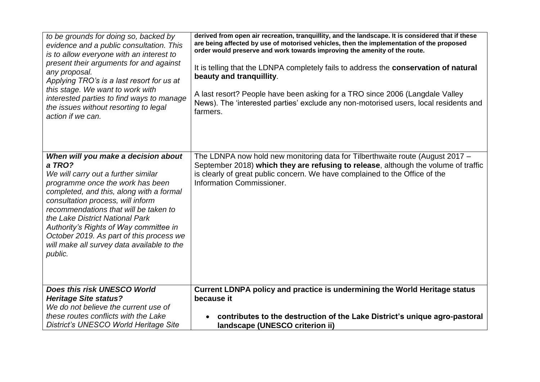| to be grounds for doing so, backed by<br>evidence and a public consultation. This<br>is to allow everyone with an interest to<br>present their arguments for and against<br>any proposal.<br>Applying TRO's is a last resort for us at<br>this stage. We want to work with<br>interested parties to find ways to manage<br>the issues without resorting to legal<br>action if we can. | derived from open air recreation, tranquillity, and the landscape. It is considered that if these<br>are being affected by use of motorised vehicles, then the implementation of the proposed<br>order would preserve and work towards improving the amenity of the route.<br>It is telling that the LDNPA completely fails to address the conservation of natural<br>beauty and tranquillity.<br>A last resort? People have been asking for a TRO since 2006 (Langdale Valley<br>News). The 'interested parties' exclude any non-motorised users, local residents and<br>farmers. |
|---------------------------------------------------------------------------------------------------------------------------------------------------------------------------------------------------------------------------------------------------------------------------------------------------------------------------------------------------------------------------------------|------------------------------------------------------------------------------------------------------------------------------------------------------------------------------------------------------------------------------------------------------------------------------------------------------------------------------------------------------------------------------------------------------------------------------------------------------------------------------------------------------------------------------------------------------------------------------------|
| When will you make a decision about<br>a TRO?<br>We will carry out a further similar<br>programme once the work has been                                                                                                                                                                                                                                                              | The LDNPA now hold new monitoring data for Tilberthwaite route (August 2017 –<br>September 2018) which they are refusing to release, although the volume of traffic<br>is clearly of great public concern. We have complained to the Office of the<br>Information Commissioner.                                                                                                                                                                                                                                                                                                    |
| completed, and this, along with a formal<br>consultation process, will inform<br>recommendations that will be taken to<br>the Lake District National Park<br>Authority's Rights of Way committee in<br>October 2019. As part of this process we                                                                                                                                       |                                                                                                                                                                                                                                                                                                                                                                                                                                                                                                                                                                                    |
| will make all survey data available to the<br>public.                                                                                                                                                                                                                                                                                                                                 |                                                                                                                                                                                                                                                                                                                                                                                                                                                                                                                                                                                    |
| Does this risk UNESCO World                                                                                                                                                                                                                                                                                                                                                           | Current LDNPA policy and practice is undermining the World Heritage status                                                                                                                                                                                                                                                                                                                                                                                                                                                                                                         |
| <b>Heritage Site status?</b><br>We do not believe the current use of                                                                                                                                                                                                                                                                                                                  | because it                                                                                                                                                                                                                                                                                                                                                                                                                                                                                                                                                                         |
| these routes conflicts with the Lake<br>District's UNESCO World Heritage Site                                                                                                                                                                                                                                                                                                         | contributes to the destruction of the Lake District's unique agro-pastoral<br>landscape (UNESCO criterion ii)                                                                                                                                                                                                                                                                                                                                                                                                                                                                      |